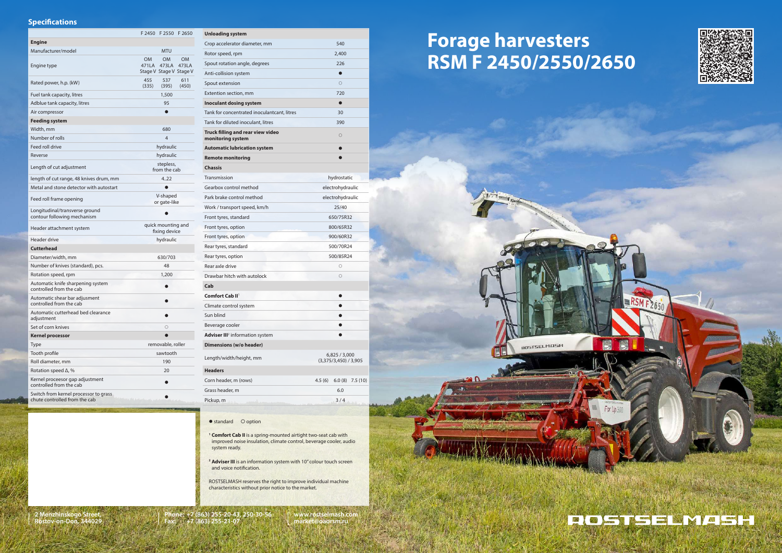# **Forage harvesters RSM F 2450/2550/2650**



**AOSTSELMASH** 







**<sup>1</sup> Comfort Cab II** is a spring-mounted airtight two-seat cab with improved noise insulation, climate control, beverage cooler, audio system ready.

<sup>2</sup> **Adviser III** is an information system with 10" colour touch screen and voice notification.

ROSTSELMASH reserves the right to improve individual machine characteristics without prior notice to the market.

#### **2 Menzhinskogo Street, Rostov-on-Don, 344029**

**www.rostselmash.com market@oaorsm.ru**

**Phone: +7 (863) 255-20-43, 250-30-56 Fax: +7 (863) 255-21-07**

### **Specifications**

|                                                                        |                                     | F 2450 F 2550                                 | F 2650             |
|------------------------------------------------------------------------|-------------------------------------|-----------------------------------------------|--------------------|
| <b>Engine</b>                                                          |                                     |                                               |                    |
| Manufacturer/model                                                     |                                     | <b>MTU</b>                                    |                    |
| Engine type                                                            | OM.<br>471LA                        | <b>OM</b><br>473LA<br>Stage V Stage V Stage V | <b>OM</b><br>473LA |
| Rated power, h.p. (kW)                                                 | 455<br>(335)                        | 537<br>(395)                                  | 611<br>(450)       |
| Fuel tank capacity, litres                                             |                                     | 1,500                                         |                    |
| Adblue tank capacity, litres                                           |                                     | 95                                            |                    |
| Air compressor                                                         |                                     |                                               |                    |
| Feeding system                                                         |                                     |                                               |                    |
| Width, mm                                                              |                                     | 680                                           |                    |
| Number of rolls                                                        |                                     | 4                                             |                    |
| Feed roll drive                                                        | hydraulic                           |                                               |                    |
| Reverse                                                                |                                     | hydraulic                                     |                    |
| Length of cut adjustment                                               | stepless,<br>from the cab           |                                               |                    |
| length of cut range, 48 knives drum, mm                                | 4.22                                |                                               |                    |
| Metal and stone detector with autostart                                |                                     |                                               |                    |
| Feed roll frame opening                                                | V-shaped<br>or gate-like            |                                               |                    |
| Longitudinal/transverse ground<br>contour following mechanism          |                                     |                                               |                    |
| Header attachment system                                               | quick mounting and<br>fixing device |                                               |                    |
| Header drive                                                           | hydraulic                           |                                               |                    |
| <b>Cutterhead</b>                                                      |                                     |                                               |                    |
| Diameter/width, mm                                                     |                                     | 630/703                                       |                    |
| Number of knives (standard), pcs.                                      | 48                                  |                                               |                    |
| Rotation speed, rpm                                                    |                                     | 1,200                                         |                    |
| Automatic knife sharpening system<br>controlled from the cab           |                                     |                                               |                    |
| Automatic shear bar adjusment<br>controlled from the cab               |                                     |                                               |                    |
| Automatic cutterhead bed clearance<br>adjustment                       |                                     |                                               |                    |
| Set of corn knives                                                     |                                     | О                                             |                    |
| <b>Kernel processor</b>                                                |                                     | ●                                             |                    |
| Type                                                                   |                                     | removable, roller                             |                    |
| Tooth profile                                                          | sawtooth                            |                                               |                    |
| Roll diameter, mm                                                      | 190                                 |                                               |                    |
| Rotation speed $\Delta$ , %                                            |                                     | 20                                            |                    |
| Kernel proceesor gap adjustment<br>controlled from the cab             |                                     | O                                             |                    |
| Switch from kernel processor to grass<br>chute controlled from the cab |                                     |                                               |                    |

| <b>Unloading system</b>                                |                                    |  |  |
|--------------------------------------------------------|------------------------------------|--|--|
| Crop accelerator diameter, mm                          | 540                                |  |  |
| Rotor speed, rpm                                       | 2,400                              |  |  |
| Spout rotation angle, degrees                          | 226                                |  |  |
| Anti-collision system                                  | $\bullet$                          |  |  |
| Spout extension                                        | $\circ$                            |  |  |
| Extention section, mm                                  | 720                                |  |  |
| <b>Inoculant dosing system</b>                         | ●                                  |  |  |
| Tank for concentrated inoculantcant, litres            | 30                                 |  |  |
| Tank for diluted inoculant, litres                     | 390                                |  |  |
| Truck filling and rear view video<br>monitoring system | $\circ$                            |  |  |
| <b>Automatic lubrication system</b>                    | $\bullet$                          |  |  |
| <b>Remote monitoring</b>                               |                                    |  |  |
| <b>Chassis</b>                                         |                                    |  |  |
| Transmission                                           | hydrostatic                        |  |  |
| Gearbox control method                                 | electrohydraulic                   |  |  |
| Park brake control method                              | electrohydraulic                   |  |  |
| Work / transport speed, km/h                           | 25/40                              |  |  |
| Front tyres, standard                                  | 650/75R32                          |  |  |
| Front tyres, option                                    | 800/65R32                          |  |  |
| Front tyres, option                                    | 900/60R32                          |  |  |
| Rear tyres, standard                                   | 500/70R24                          |  |  |
| Rear tyres, option                                     | 500/85R24                          |  |  |
| Rear axle drive                                        | $\circ$                            |  |  |
| Drawbar hitch with autolock                            | $\circ$                            |  |  |
| Cab                                                    |                                    |  |  |
| Comfort Cab II <sup>1</sup>                            |                                    |  |  |
| Climate control system                                 |                                    |  |  |
| Sun blind                                              |                                    |  |  |
| Beverage cooler                                        |                                    |  |  |
| <b>Adviser III</b> <sup>2</sup> information system     |                                    |  |  |
| Dimensions (w/o header)                                |                                    |  |  |
| Length/width/height, mm                                | 6,825/3,000<br>(3,375/3,450)/3,905 |  |  |
| Headers                                                |                                    |  |  |
| Corn header, m (rows)                                  | 4.5(6)<br>6.0(8)<br>7.5 (10)       |  |  |
| Grass header, m                                        | 6.0                                |  |  |
| Pickup, m                                              | 3/4                                |  |  |
|                                                        |                                    |  |  |

• standard O option